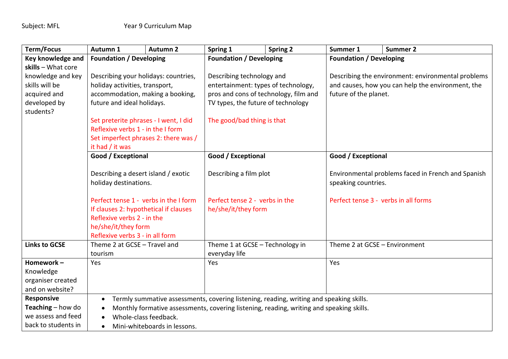| <b>Term/Focus</b>          | Autumn 1                                                                                                                            | <b>Autumn 2</b> | Spring 1                              | <b>Spring 2</b>                      | Summer 1                                           | <b>Summer 2</b>                                    |  |
|----------------------------|-------------------------------------------------------------------------------------------------------------------------------------|-----------------|---------------------------------------|--------------------------------------|----------------------------------------------------|----------------------------------------------------|--|
| Key knowledge and          | <b>Foundation / Developing</b>                                                                                                      |                 | <b>Foundation / Developing</b>        |                                      | <b>Foundation / Developing</b>                     |                                                    |  |
| skills - What core         |                                                                                                                                     |                 |                                       |                                      |                                                    |                                                    |  |
| knowledge and key          | Describing your holidays: countries,                                                                                                |                 | Describing technology and             |                                      | Describing the environment: environmental problems |                                                    |  |
| skills will be             | holiday activities, transport,                                                                                                      |                 | entertainment: types of technology,   |                                      | and causes, how you can help the environment, the  |                                                    |  |
| acquired and               | accommodation, making a booking,                                                                                                    |                 | pros and cons of technology, film and |                                      | future of the planet.                              |                                                    |  |
| developed by               | future and ideal holidays.                                                                                                          |                 | TV types, the future of technology    |                                      |                                                    |                                                    |  |
| students?                  |                                                                                                                                     |                 |                                       |                                      |                                                    |                                                    |  |
|                            | Set preterite phrases - I went, I did                                                                                               |                 | The good/bad thing is that            |                                      |                                                    |                                                    |  |
|                            | Reflexive verbs 1 - in the I form<br>Set imperfect phrases 2: there was /                                                           |                 |                                       |                                      |                                                    |                                                    |  |
|                            |                                                                                                                                     |                 |                                       |                                      |                                                    |                                                    |  |
|                            | it had $/$ it was                                                                                                                   |                 |                                       |                                      |                                                    |                                                    |  |
|                            | Good / Exceptional                                                                                                                  |                 | Good / Exceptional                    |                                      | Good / Exceptional                                 |                                                    |  |
|                            | Describing a desert island / exotic                                                                                                 |                 | Describing a film plot                |                                      |                                                    | Environmental problems faced in French and Spanish |  |
|                            | holiday destinations.                                                                                                               |                 |                                       |                                      | speaking countries.                                |                                                    |  |
|                            | Perfect tense 1 - verbs in the I form<br>If clauses 2: hypothetical if clauses<br>Reflexive verbs 2 - in the<br>he/she/it/they form |                 |                                       |                                      |                                                    |                                                    |  |
|                            |                                                                                                                                     |                 | Perfect tense 2 - verbs in the        | Perfect tense 3 - verbs in all forms |                                                    |                                                    |  |
|                            |                                                                                                                                     |                 | he/she/it/they form                   |                                      |                                                    |                                                    |  |
|                            |                                                                                                                                     |                 |                                       |                                      |                                                    |                                                    |  |
|                            |                                                                                                                                     |                 |                                       |                                      |                                                    |                                                    |  |
|                            | Reflexive verbs 3 - in all form                                                                                                     |                 |                                       |                                      |                                                    |                                                    |  |
| <b>Links to GCSE</b>       | Theme 2 at GCSE - Travel and                                                                                                        |                 | Theme 1 at GCSE - Technology in       |                                      | Theme 2 at GCSE - Environment                      |                                                    |  |
|                            | tourism                                                                                                                             |                 | everyday life                         |                                      |                                                    |                                                    |  |
| Homework-                  | Yes                                                                                                                                 |                 | Yes                                   |                                      | Yes                                                |                                                    |  |
| Knowledge                  |                                                                                                                                     |                 |                                       |                                      |                                                    |                                                    |  |
| organiser created          |                                                                                                                                     |                 |                                       |                                      |                                                    |                                                    |  |
| and on website?            |                                                                                                                                     |                 |                                       |                                      |                                                    |                                                    |  |
| <b>Responsive</b>          | Termly summative assessments, covering listening, reading, writing and speaking skills.<br>$\bullet$                                |                 |                                       |                                      |                                                    |                                                    |  |
| <b>Teaching</b> $-$ how do | Monthly formative assessments, covering listening, reading, writing and speaking skills.<br>$\bullet$                               |                 |                                       |                                      |                                                    |                                                    |  |
| we assess and feed         | Whole-class feedback.                                                                                                               |                 |                                       |                                      |                                                    |                                                    |  |
| back to students in        | Mini-whiteboards in lessons.<br>$\bullet$                                                                                           |                 |                                       |                                      |                                                    |                                                    |  |